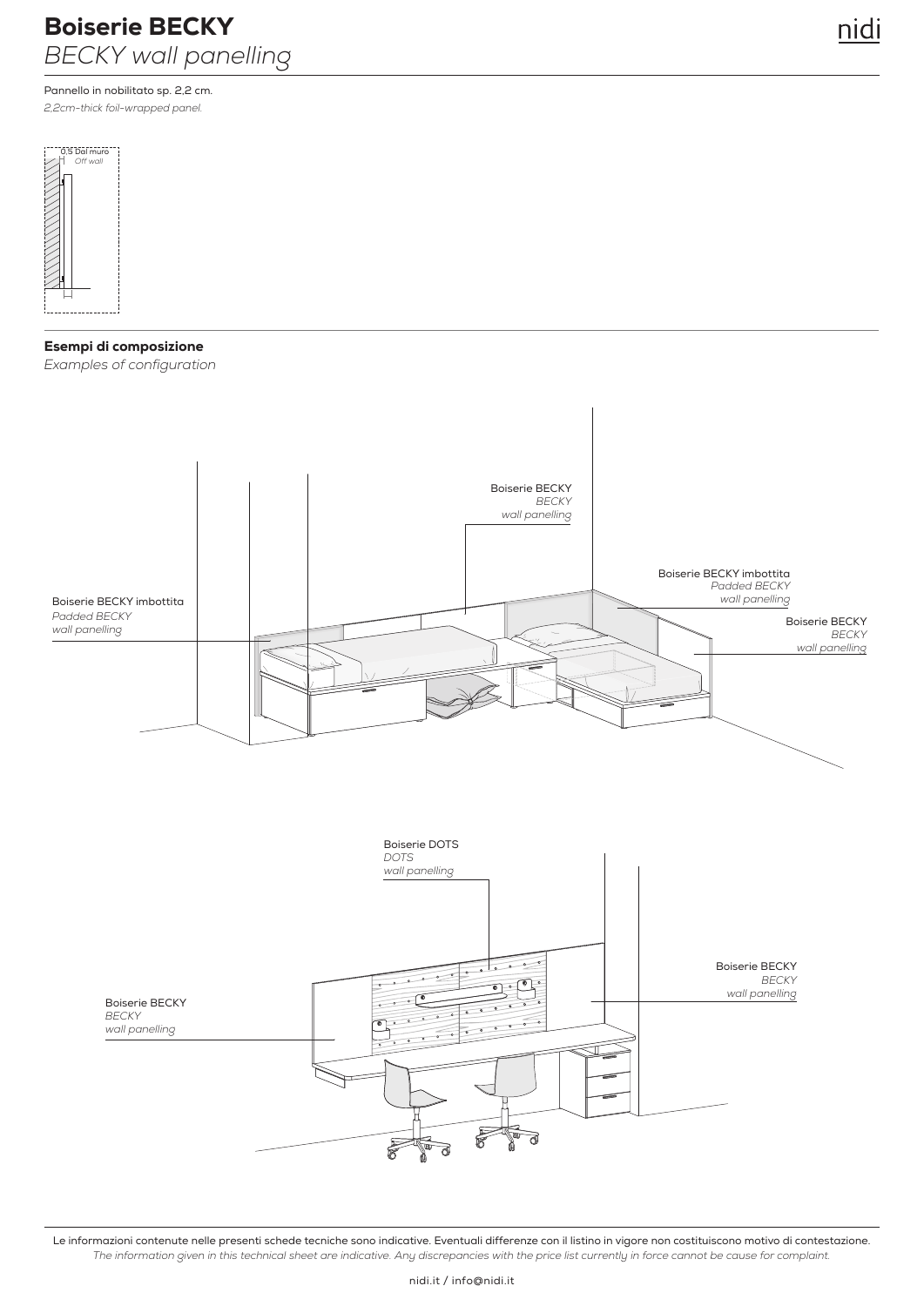# Boiserie BECKY *BECKY wall panelling*

Pannello in nobilitato sp. 2,2 cm. *2,2cm-thick foil-wrapped panel.*



## Esempi di composizione

*Examples of configuration*



Le informazioni contenute nelle presenti schede tecniche sono indicative. Eventuali differenze con il listino in vigore non costituiscono motivo di contestazione. *The information given in this technical sheet are indicative. Any discrepancies with the price list currently in force cannot be cause for complaint.*